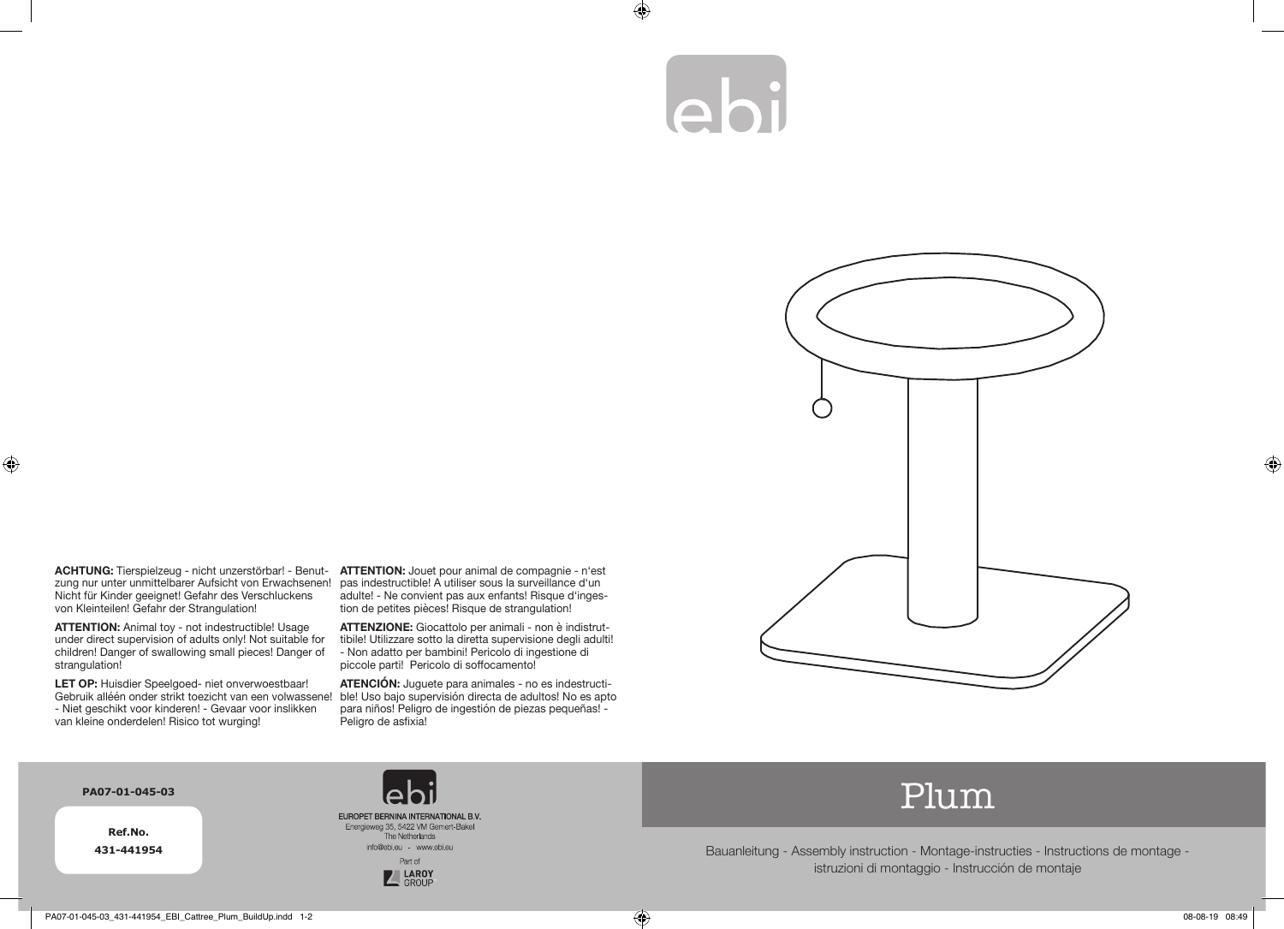## ebi

 $\bigoplus$ 



**ACHTUNG:** Tierspielzeug - nicht unzerstörbar! - Benut-**ATTENTION:** Jouet pour animal de compagnie - n'est zung nur unter unmittelbarer Aufsicht von Erwachsenen! Nicht für Kinder geeignet! Gefahr des Verschluckens von Kleinteilen! Gefahr der Strangulation!

**ATTENTION:** Animal toy - not indestructible! Usage under direct supervision of adults only! Not suitable for children! Danger of swallowing small pieces! Danger of strangulation!

**LET OP:** Huisdier Speelgoed- niet onverwoestbaar! Gebruik alléén onder strikt toezicht van een volwassene! - Niet geschikt voor kinderen! - Gevaar voor inslikken van kleine onderdelen! Risico tot wurging!

pas indestructible! A utiliser sous la surveillance d'un adulte! - Ne convient pas aux enfants! Risque d'ingestion de petites pièces! Risque de strangulation!

**ATTENZIONE:** Giocattolo per animali - non è indistruttibile! Utilizzare sotto la diretta supervisione degli adulti! - Non adatto per bambini! Pericolo di ingestione di piccole parti! Pericolo di soffocamento!

**ATENCIÓN:** Juguete para animales - no es indestructible! Uso bajo supervisión directa de adultos! No es apto para niños! Peligro de ingestión de piezas pequeñas! - Peligro de asfixia!

## **PA07-01-045-03**

 $\bigoplus$ 

**Ref.No. 431-441954**





## Plum

Bauanleitung - Assembly instruction - Montage-instructies - Instructions de montage istruzioni di montaggio - Instrucción de montaje

⊕